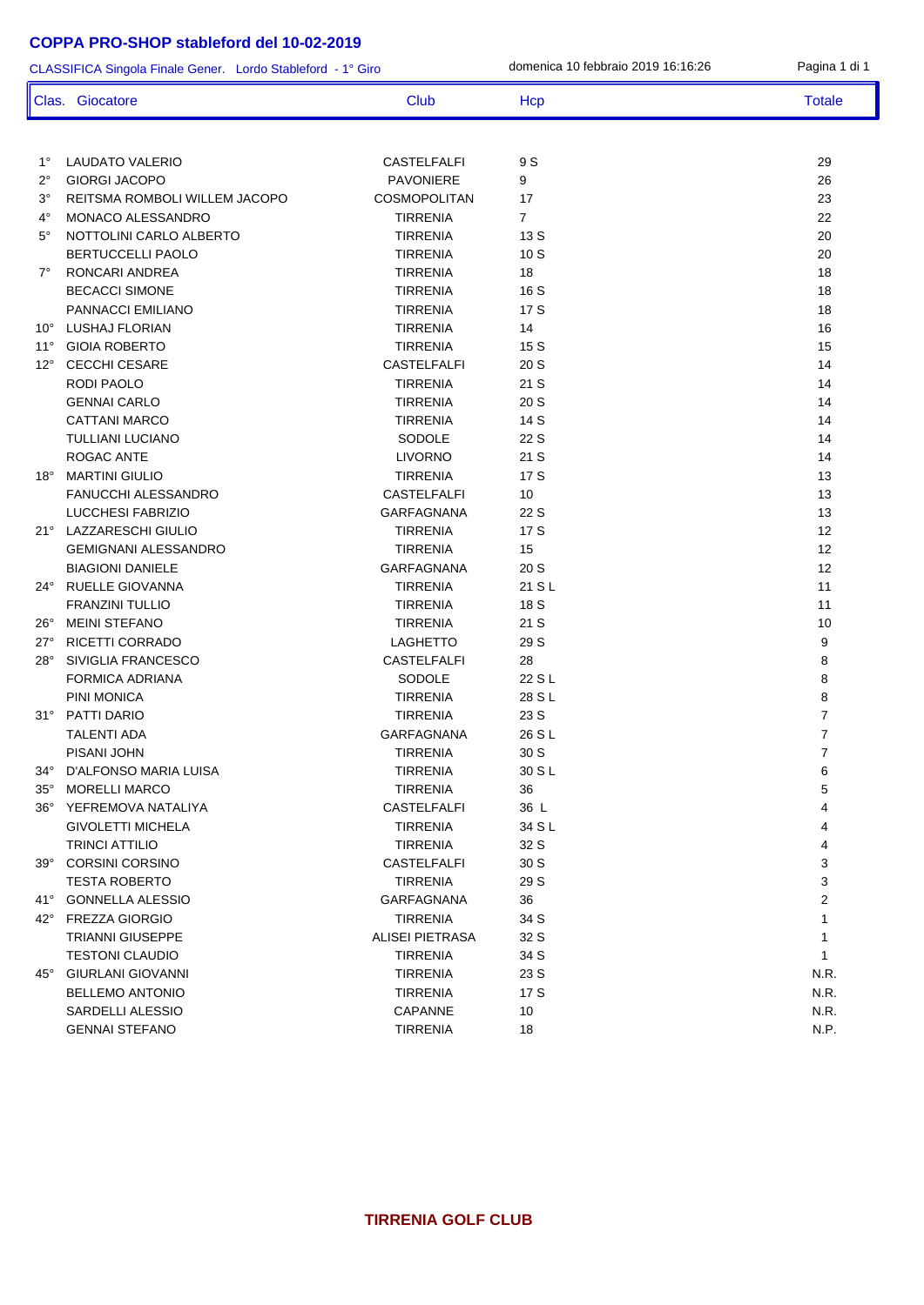## **COPPA PRO-SHOP stableford del 10-02-2019**

CLASSIFICA Singola Finale Gener. Lordo Stableford - 1° Giro domenica 10 febbraio 2019 16:16:26 Pagina 1 di 1 Clas. Giocatore Club Club Hcp Totale Totale

| $1^{\circ}$  | LAUDATO VALERIO               | <b>CASTELFALFI</b>     | 9 S            | 29                |
|--------------|-------------------------------|------------------------|----------------|-------------------|
| $2^{\circ}$  | <b>GIORGI JACOPO</b>          | <b>PAVONIERE</b>       | 9              | 26                |
| $3^{\circ}$  | REITSMA ROMBOLI WILLEM JACOPO | <b>COSMOPOLITAN</b>    | 17             | 23                |
| $4^\circ$    | <b>MONACO ALESSANDRO</b>      | <b>TIRRENIA</b>        | $\overline{7}$ | 22                |
| $5^\circ$    | NOTTOLINI CARLO ALBERTO       | <b>TIRRENIA</b>        | 13S            | 20                |
|              | <b>BERTUCCELLI PAOLO</b>      | <b>TIRRENIA</b>        | 10S            | 20                |
| $7^{\circ}$  | RONCARI ANDREA                | <b>TIRRENIA</b>        | 18             | 18                |
|              | <b>BECACCI SIMONE</b>         | <b>TIRRENIA</b>        | 16S            | 18                |
|              | PANNACCI EMILIANO             | <b>TIRRENIA</b>        | 17S            | 18                |
|              | 10° LUSHAJ FLORIAN            | <b>TIRRENIA</b>        | 14             | 16                |
| $11^{\circ}$ | <b>GIOIA ROBERTO</b>          | <b>TIRRENIA</b>        | 15S            | 15                |
| $12^{\circ}$ | <b>CECCHI CESARE</b>          | <b>CASTELFALFI</b>     | 20 S           | 14                |
|              | <b>RODI PAOLO</b>             | <b>TIRRENIA</b>        | 21 S           | 14                |
|              | <b>GENNAI CARLO</b>           | <b>TIRRENIA</b>        | 20 S           | 14                |
|              | <b>CATTANI MARCO</b>          | <b>TIRRENIA</b>        | 14 S           | 14                |
|              | <b>TULLIANI LUCIANO</b>       | <b>SODOLE</b>          | 22 S           | 14                |
|              | ROGAC ANTE                    | <b>LIVORNO</b>         | 21 S           | 14                |
| $18^\circ$   | <b>MARTINI GIULIO</b>         | <b>TIRRENIA</b>        | 17 S           | 13                |
|              | <b>FANUCCHI ALESSANDRO</b>    | <b>CASTELFALFI</b>     | 10             | 13                |
|              | <b>LUCCHESI FABRIZIO</b>      | <b>GARFAGNANA</b>      | 22 S           | 13                |
|              | 21° LAZZARESCHI GIULIO        | <b>TIRRENIA</b>        | 17 S           | 12                |
|              | <b>GEMIGNANI ALESSANDRO</b>   | <b>TIRRENIA</b>        | 15             | $12 \overline{ }$ |
|              | <b>BIAGIONI DANIELE</b>       | <b>GARFAGNANA</b>      | 20S            | 12                |
| 24°          | RUELLE GIOVANNA               | <b>TIRRENIA</b>        | 21 S L         | 11                |
|              | <b>FRANZINI TULLIO</b>        | <b>TIRRENIA</b>        | 18 S           | 11                |
| 26°          | <b>MEINI STEFANO</b>          | <b>TIRRENIA</b>        | 21 S           | 10                |
| 27°          | RICETTI CORRADO               | <b>LAGHETTO</b>        | 29 S           | 9                 |
| $28^\circ$   | SIVIGLIA FRANCESCO            | <b>CASTELFALFI</b>     | 28             | 8                 |
|              | <b>FORMICA ADRIANA</b>        | <b>SODOLE</b>          | 22 S L         | 8                 |
|              | PINI MONICA                   | <b>TIRRENIA</b>        | 28 S L         | 8                 |
| $31^\circ$   | <b>PATTI DARIO</b>            | <b>TIRRENIA</b>        | 23 S           | $\overline{7}$    |
|              | <b>TALENTI ADA</b>            | <b>GARFAGNANA</b>      | 26 S L         | $\overline{7}$    |
|              | PISANI JOHN                   | <b>TIRRENIA</b>        | 30 S           | $\overline{7}$    |
| 34°          | D'ALFONSO MARIA LUISA         | <b>TIRRENIA</b>        | 30 S L         | 6                 |
| $35^\circ$   | <b>MORELLI MARCO</b>          | <b>TIRRENIA</b>        | 36             | 5                 |
| $36^{\circ}$ | YEFREMOVA NATALIYA            | <b>CASTELFALFI</b>     | 36 L           | 4                 |
|              | <b>GIVOLETTI MICHELA</b>      | <b>TIRRENIA</b>        | 34 S L         | 4                 |
|              | <b>TRINCI ATTILIO</b>         | <b>TIRRENIA</b>        | 32 S           | 4                 |
| $39^\circ$   | <b>CORSINI CORSINO</b>        | <b>CASTELFALFI</b>     | 30 S           | 3                 |
|              | <b>TESTA ROBERTO</b>          | <b>TIRRENIA</b>        | 29 S           | 3                 |
| 41°          | <b>GONNELLA ALESSIO</b>       | GARFAGNANA             | 36             | 2                 |
| 42°          | <b>FREZZA GIORGIO</b>         | <b>TIRRENIA</b>        | 34 S           | 1                 |
|              | <b>TRIANNI GIUSEPPE</b>       | <b>ALISEI PIETRASA</b> | 32 S           | 1                 |
|              | <b>TESTONI CLAUDIO</b>        | <b>TIRRENIA</b>        | 34 S           | 1                 |
| $45^{\circ}$ | <b>GIURLANI GIOVANNI</b>      | <b>TIRRENIA</b>        | 23 S           | N.R.              |
|              | <b>BELLEMO ANTONIO</b>        | <b>TIRRENIA</b>        | 17 S           | N.R.              |
|              | SARDELLI ALESSIO              | CAPANNE                | 10             | N.R.              |
|              | <b>GENNAI STEFANO</b>         | <b>TIRRENIA</b>        | 18             | N.P.              |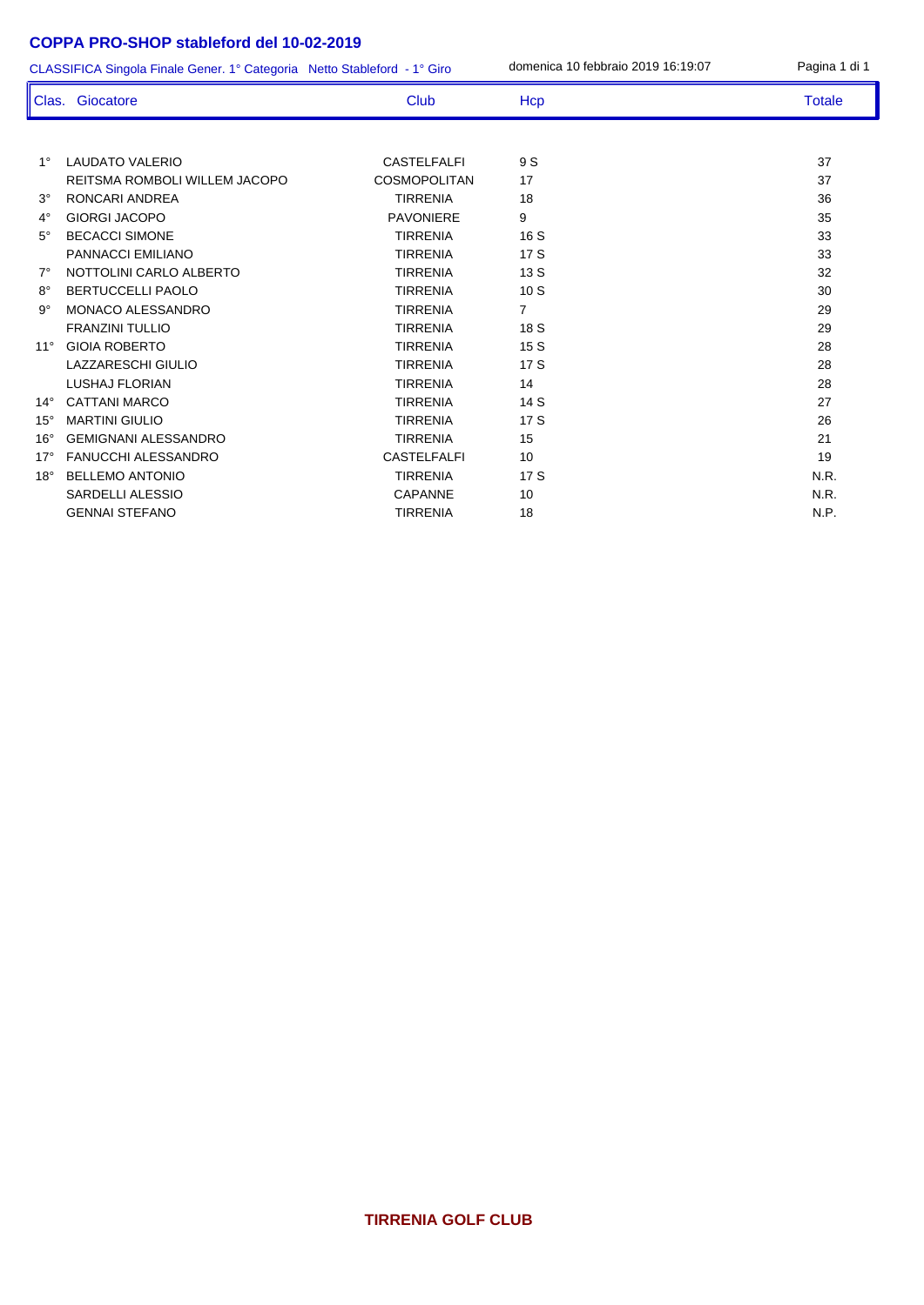## **COPPA PRO-SHOP stableford del 10-02-2019**

CLASSIFICA Singola Finale Gener. 1° Categoria Netto Stableford - 1° Giro domenica 10 febbraio 2019 16:19:07

| Pagina 1 di 1 |  |  |
|---------------|--|--|
|               |  |  |

| Clas.        | Giocatore                     | Club                | Hcp            | <b>Totale</b> |
|--------------|-------------------------------|---------------------|----------------|---------------|
|              |                               |                     |                |               |
| $1^{\circ}$  | <b>LAUDATO VALERIO</b>        | <b>CASTELFALFI</b>  | 9 S            | 37            |
|              | REITSMA ROMBOLI WILLEM JACOPO | <b>COSMOPOLITAN</b> | 17             | 37            |
| $3^\circ$    | RONCARI ANDREA                | <b>TIRRENIA</b>     | 18             | 36            |
| $4^\circ$    | <b>GIORGI JACOPO</b>          | <b>PAVONIERE</b>    | 9              | 35            |
| $5^\circ$    | <b>BECACCI SIMONE</b>         | <b>TIRRENIA</b>     | 16S            | 33            |
|              | PANNACCI EMILIANO             | <b>TIRRENIA</b>     | 17 S           | 33            |
| $7^\circ$    | NOTTOLINI CARLO ALBERTO       | <b>TIRRENIA</b>     | 13S            | 32            |
| $8^{\circ}$  | BERTUCCELLI PAOLO             | <b>TIRRENIA</b>     | 10S            | 30            |
| $9^{\circ}$  | MONACO ALESSANDRO             | <b>TIRRENIA</b>     | $\overline{7}$ | 29            |
|              | <b>FRANZINI TULLIO</b>        | <b>TIRRENIA</b>     | 18 S           | 29            |
| $11^{\circ}$ | <b>GIOIA ROBERTO</b>          | <b>TIRRENIA</b>     | 15S            | 28            |
|              | LAZZARESCHI GIULIO            | <b>TIRRENIA</b>     | 17S            | 28            |
|              | <b>LUSHAJ FLORIAN</b>         | <b>TIRRENIA</b>     | 14             | 28            |
| $14^\circ$   | <b>CATTANI MARCO</b>          | <b>TIRRENIA</b>     | 14S            | 27            |
| $15^{\circ}$ | <b>MARTINI GIULIO</b>         | <b>TIRRENIA</b>     | 17 S           | 26            |
| $16^{\circ}$ | <b>GEMIGNANI ALESSANDRO</b>   | <b>TIRRENIA</b>     | 15             | 21            |
| $17^\circ$   | FANUCCHI ALESSANDRO           | <b>CASTELFALFI</b>  | 10             | 19            |
| $18^\circ$   | <b>BELLEMO ANTONIO</b>        | <b>TIRRENIA</b>     | 17S            | N.R.          |
|              | <b>SARDELLI ALESSIO</b>       | CAPANNE             | 10             | N.R.          |
|              | <b>GENNAI STEFANO</b>         | <b>TIRRENIA</b>     | 18             | N.P.          |